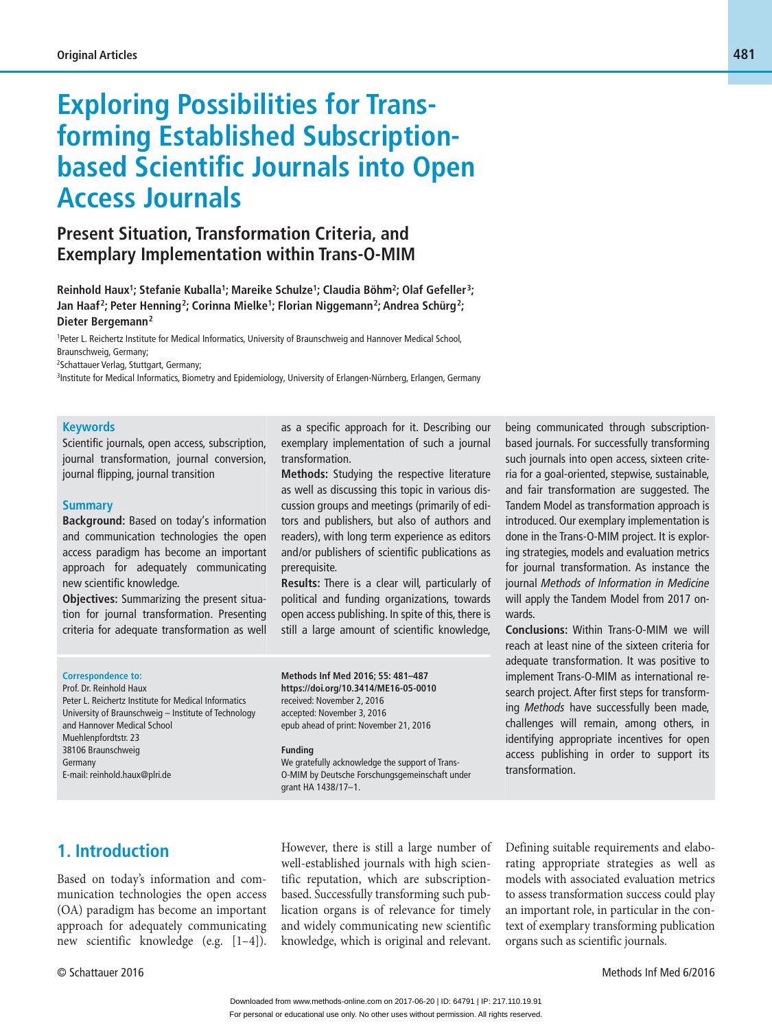# **Exploring Possibilities for Transforming Established Subscriptionbased Scientific Journals into Open Access Journals**

# **Present Situation, Transformation Criteria, and Exemplary Implementation within Trans-O-MIM**

**Reinhold Haux1; Stefanie Kuballa1; Mareike Schulze1; Claudia Böhm2; Olaf Gefeller 3;**  Jan Haaf<sup>2</sup>; Peter Henning<sup>2</sup>; Corinna Mielke<sup>1</sup>; Florian Niggemann<sup>2</sup>; Andrea Schürg<sup>2</sup>; **Dieter Bergemann 2**

1 Peter L. Reichertz Institute for Medical Informatics, University of Braunschweig and Hannover Medical School, Braunschweig, Germany;

2 Schattauer Verlag, Stuttgart, Germany;

3 Institute for Medical Informatics, Biometry and Epidemiology, University of Erlangen-Nürnberg, Erlangen, Germany

#### **Keywords**

Scientific journals, open access, subscription, journal transformation, journal conversion, journal flipping, journal transition

#### **Summary**

**Background:** Based on today's information and communication technologies the open access paradigm has become an important approach for adequately communicating new scientific knowledge.

**Objectives:** Summarizing the present situation for journal transformation. Presenting criteria for adequate transformation as well

#### **Correspondence to:**

Prof. Dr. Reinhold Haux Peter L. Reichertz Institute for Medical Informatics University of Braunschweig – Institute of Technology and Hannover Medical School Muehlenpfordtstr. 23 38106 Braunschweig Germany E-mail: reinhold.haux@plri.de

as a specific approach for it. Describing our exemplary implementation of such a journal transformation.

**Methods:** Studying the respective literature as well as discussing this topic in various discussion groups and meetings (primarily of editors and publishers, but also of authors and readers), with long term experience as editors and/or publishers of scientific publications as prerequisite.

**Results:** There is a clear will, particularly of political and funding organizations, towards open access publishing. In spite of this, there is still a large amount of scientific knowledge,

**Methods Inf Med 2016; 55: 481–487 https://doi.org/10.3414/ME16-05-0010** received: November 2, 2016 accepted: November 3, 2016 epub ahead of print: November 21, 2016

#### **Funding**

We gratefully acknowledge the support of Trans-O-MIM by Deutsche Forschungsgemeinschaft under grant HA 1438/17-1.

being communicated through subscriptionbased journals. For successfully transforming such journals into open access, sixteen criteria for a goal-oriented, stepwise, sustainable, and fair transformation are suggested. The Tandem Model as transformation approach is introduced. Our exemplary implementation is done in the Trans-O-MIM project. It is exploring strategies, models and evaluation metrics for journal transformation. As instance the journal *Methods of Information in Medicine* will apply the Tandem Model from 2017 onwards.

**Conclusions:** Within Trans-O-MIM we will reach at least nine of the sixteen criteria for adequate transformation. It was positive to implement Trans-O-MIM as international research project. After first steps for transforming *Methods* have successfully been made, challenges will remain, among others, in identifying appropriate incentives for open access publishing in order to support its transformation.

### **1. Introduction**

Based on today's information and communication technologies the open access (OA) paradigm has become an important approach for adequately communicating new scientific knowledge (e.g. [1-4]). However, there is still a large number of well-established journals with high scientific reputation, which are subscriptionbased. Successfully transforming such publication organs is of relevance for timely and widely communicating new scientific knowledge, which is original and relevant.

Defining suitable requirements and elaborating appropriate strategies as well as models with associated evaluation metrics to assess transformation success could play an important role, in particular in the context of exemplary transforming publication organs such as scientific journals.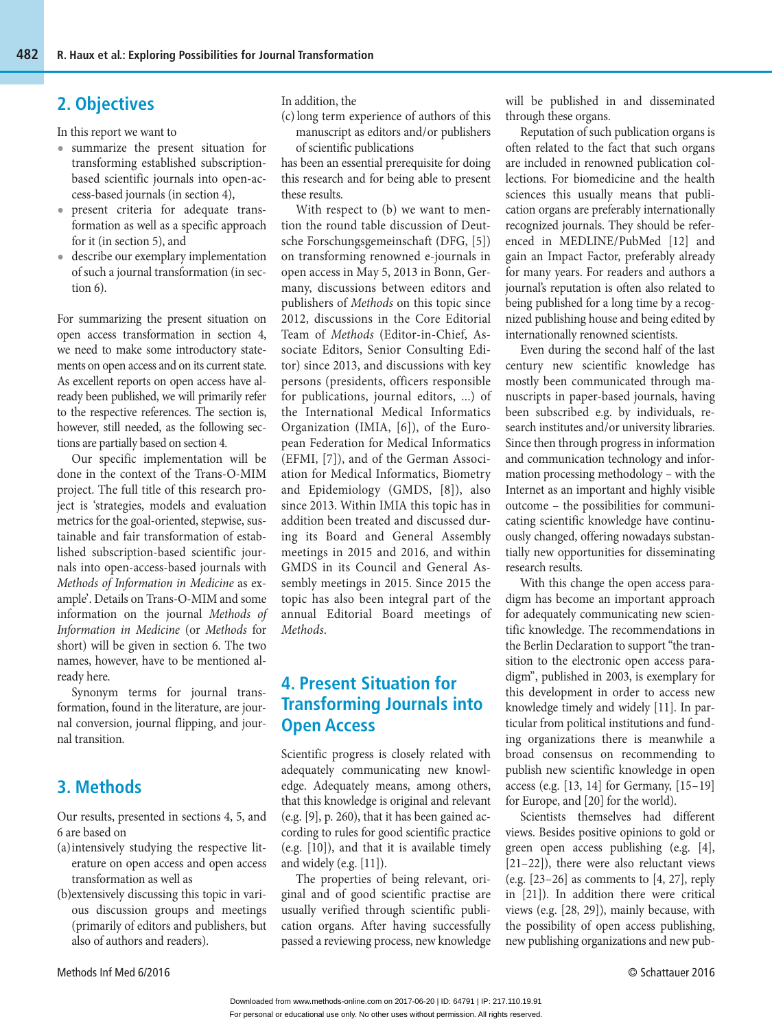## **2. Objectives**

In this report we want to

- **•** summarize the present situation for transforming established subscriptionbased scientific journals into open-access-based journals (in section 4),
- **•** present criteria for adequate transformation as well as a specific approach for it (in section 5), and
- **•** describe our exemplary implementation of such a journal transformation (in section 6).

For summarizing the present situation on open access transformation in section 4, we need to make some introductory statements on open access and on its current state. As excellent reports on open access have already been published, we will primarily refer to the respective references. The section is, however, still needed, as the following sections are partially based on section 4.

Our specific implementation will be done in the context of the Trans-O-MIM project. The full title of this research project is 'strategies, models and evaluation metrics for the goal-oriented, stepwise, sustainable and fair transformation of established subscription-based scientific jour nals into open-access-based journals with *Methods of Information in Medicine* as example'. Details on Trans-O-MIM and some information on the journal *Methods of Information in Medicine* (or *Methods* for short) will be given in section 6. The two names, however, have to be mentioned already here.

Synonym terms for journal transformation, found in the literature, are journal conversion, journal flipping, and journal transition.

### **3 . Methods**

Our results, presented in sections 4, 5, and 6 are based on

- (a) intensively studying the respective literature on open access and open access transformation as well as
- (b)extensively discussing this topic in various discussion groups and meetings (primarily of editors and publishers, but also of authors and readers).

Methods Inf Med 6/2016 © Schattauer 2016

In addition, the

(c) long term experience of authors of this manuscript as editors and/or publishers of scientific publications

has been an essential prerequisite for doing this research and for being able to present these results.

With respect to (b) we want to mention the round table discussion of Deutsche Forschungsgemeinschaft (DFG, [5]) on transforming renowned e-journals in open access in May 5, 2013 in Bonn, Germany, discussions between editors and publishers of *Methods* on this topic since 2012, discussions in the Core Editorial Team of *Methods* (Editor-in-Chief, Associate Editors, Senior Consulting Editor) since 2013, and discussions with key persons (presidents, officers responsible for publications, journal editors, ...) of the International Medical Informatics Organization (IMIA, [6]), of the European Federation for Medical Informatics (EFMI, [7]), and of the German Association for Medical Informatics, Biometry and Epidemiology (GMDS, [8]), also since 2013. Within IMIA this topic has in addition been treated and discussed during its Board and General Assembly meetings in 2015 and 2016, and within GMDS in its Council and General Assembly meetings in 2015. Since 2015 the topic has also been integral part of the annual Editorial Board meetings of *Methods*.

# **4. Present Situation for Transforming Journals into Open Access**

Scientific progress is closely related with adequately communicating new knowledge. Adequately means, among others, that this knowledge is original and relevant (e.g. [9], p. 260), that it has been gained according to rules for good scientific practice (e.g. [10]), and that it is available timely and widely (e.g. [11]).

The properties of being relevant, original and of good scientific practise are usually verified through scientific publication organs. After having successfully passed a reviewing process, new knowledge will be published in and disseminated through these organs.

Reputation of such publication organs is often related to the fact that such organs are included in renowned publication collections. For biomedicine and the health sciences this usually means that publication organs are preferably internationally recognized journals. They should be referenced in MEDLINE/PubMed [12] and gain an Impact Factor, preferably already for many years. For readers and authors a journal's reputation is often also related to being published for a long time by a recognized publishing house and being edited by internationally renowned scientists.

Even during the second half of the last century new scientific knowledge has mostly been communicated through manuscripts in paper-based journals, having been subscribed e.g. by individuals, research institutes and/or university libraries. Since then through progress in information and communication technology and information processing methodology – with the Internet as an important and highly visible outcome – the possibilities for communicating scientific knowledge have continuously changed, offering nowadays substantially new opportunities for disseminating research results.

With this change the open access paradigm has become an important approach for adequately communicating new scientific knowledge. The recommendations in the Berlin Declaration to support "the transition to the electronic open access paradigm", published in 2003, is exemplary for this development in order to access new knowledge timely and widely [11]. In particular from political institutions and funding organizations there is meanwhile a broad consensus on recommending to publish new scientific knowledge in open access (e.g.  $[13, 14]$  for Germany,  $[15-19]$ for Europe, and [20] for the world).

Scientists themselves had different views. Besides positive opinions to gold or green open access publishing (e.g. [4], [21-22]), there were also reluctant views (e.g.  $[23-26]$  as comments to  $[4, 27]$ , reply in [21]). In addition there were critical views (e.g. [28, 29]), mainly because, with the possibility of open access publishing, new publishing organizations and new pub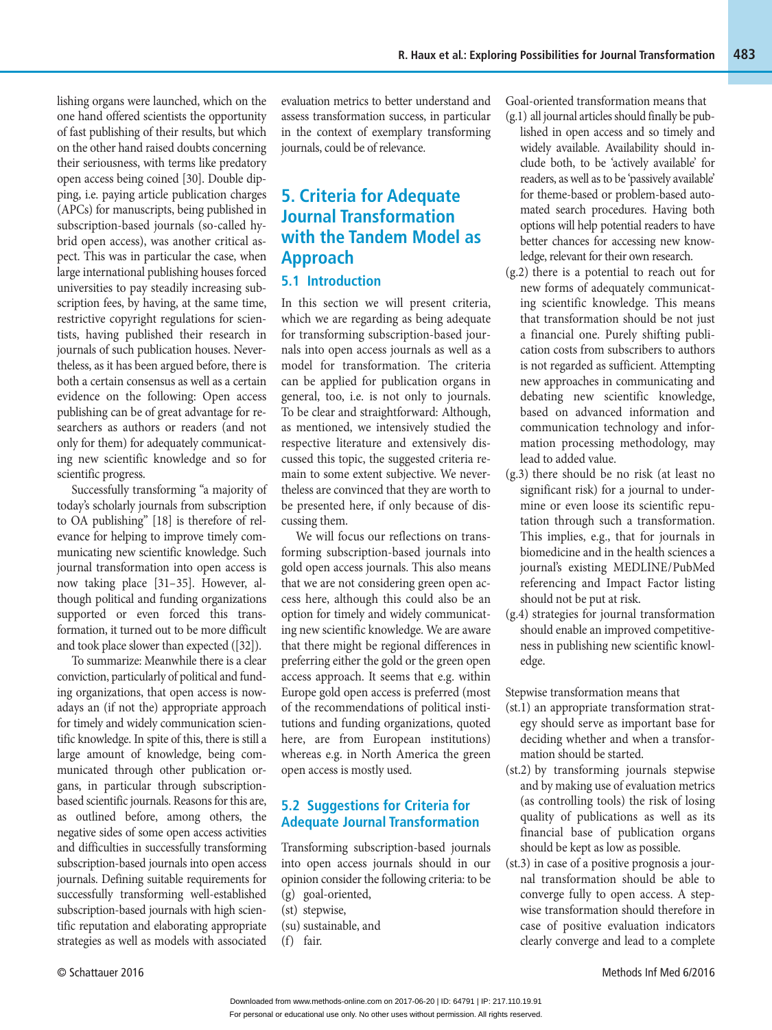lishing organs were launched, which on the one hand offered scientists the opportunity of fast publishing of their results, but which on the other hand raised doubts concerning their seriousness, with terms like predatory open access being coined [30]. Double dipping, i.e. paying article publication charges (APCs) for manuscripts, being published in subscription-based journals (so-called hybrid open access), was another critical aspect. This was in particular the case, when large international publishing houses forced universities to pay steadily increasing subscription fees, by having, at the same time, restrictive copyright regulations for scientists, having published their research in journals of such publication houses. Nevertheless, as it has been argued before, there is both a certain consensus as well as a certain evidence on the following: Open access publishing can be of great advantage for researchers as authors or readers (and not only for them) for adequately communicating new scientific knowledge and so for scientific progress.

Successfully transforming "a majority of today's scholarly journals from subscription to OA publishing" [18] is therefore of relevance for helping to improve timely communicating new scientific knowledge. Such journal transformation into open access is now taking place [31-35]. However, although political and funding organizations supported or even forced this transformation, it turned out to be more difficult and took place slower than expected ([32]).

To summarize: Meanwhile there is a clear conviction, particularly of political and funding organizations, that open access is nowadays an (if not the) appropriate approach for timely and widely communication scientific knowledge. In spite of this, there is still a large amount of knowledge, being communicated through other publication organs, in particular through subscriptionbased scientific journals. Reasons for this are, as outlined before, among others, the negative sides of some open access activities and difficulties in successfully transforming subscription-based journals into open access journals. Defining suitable requirements for successfully transforming well-established subscription-based journals with high scientific reputation and elaborating appropriate strategies as well as models with associated evaluation metrics to better understand and assess transformation success, in particular in the context of exemplary transforming journals, could be of relevance.

# **5 . Criteria for Adequate Journal Transformation with the Tandem Model as Approach**

#### **5.1 Introduction**

In this section we will present criteria, which we are regarding as being adequate for transforming subscription-based jour nals into open access journals as well as a model for transformation. The criteria can be applied for publication organs in general, too, i.e. is not only to journals. To be clear and straightforward: Although, as mentioned, we intensively studied the respective literature and extensively discussed this topic, the suggested criteria remain to some extent subjective. We nevertheless are convinced that they are worth to be presented here, if only because of discussing them.

We will focus our reflections on transforming subscription-based journals into gold open access journals. This also means that we are not considering green open access here, although this could also be an option for timely and widely communicating new scientific knowledge. We are aware that there might be regional differences in preferring either the gold or the green open access approach. It seems that e.g. within Europe gold open access is preferred (most of the recommendations of political institutions and funding organizations, quoted here, are from European institutions) whereas e.g. in North America the green open access is mostly used.

### **5.2 Suggestions for Criteria for Adequate Journal Transformation**

Transforming subscription-based journals into open access journals should in our opinion consider the following criteria: to be (g) goal-oriented,

- (st) stepwise,
- (su) sustainable, and
- (f) fair.

Goal-oriented transformation means that

- (g.1) all journal articles should finally be published in open access and so timely and widely available. Availability should include both, to be 'actively available' for readers, as well as to be 'passively available' for theme-based or problem-based automated search procedures. Having both options will help potential readers to have better chances for accessing new knowledge, relevant for their own research.
- (g.2) there is a potential to reach out for new forms of adequately communicating scientific knowledge. This means that transformation should be not just a financial one. Purely shifting publication costs from subscribers to authors is not regarded as sufficient. Attempting new approaches in communicating and debating new scientific knowledge, based on advanced information and communication technology and information processing methodology, may lead to added value.
- (g.3) there should be no risk (at least no significant risk) for a journal to undermine or even loose its scientific reputation through such a transformation. This implies, e.g., that for journals in biomedicine and in the health sciences a journal's existing MEDLINE/PubMed referencing and Impact Factor listing should not be put at risk.
- (g.4) strategies for journal transformation should enable an improved competitiveness in publishing new scientific knowledge.

Stepwise transformation means that

- (st.1) an appropriate transformation strategy should serve as important base for deciding whether and when a transformation should be started.
- (st.2) by transforming journals stepwise and by making use of evaluation metrics (as controlling tools) the risk of losing quality of publications as well as its financial base of publication organs should be kept as low as possible.
- (st.3) in case of a positive prognosis a journal transformation should be able to converge fully to open access. A stepwise transformation should therefore in case of positive evaluation indicators clearly converge and lead to a complete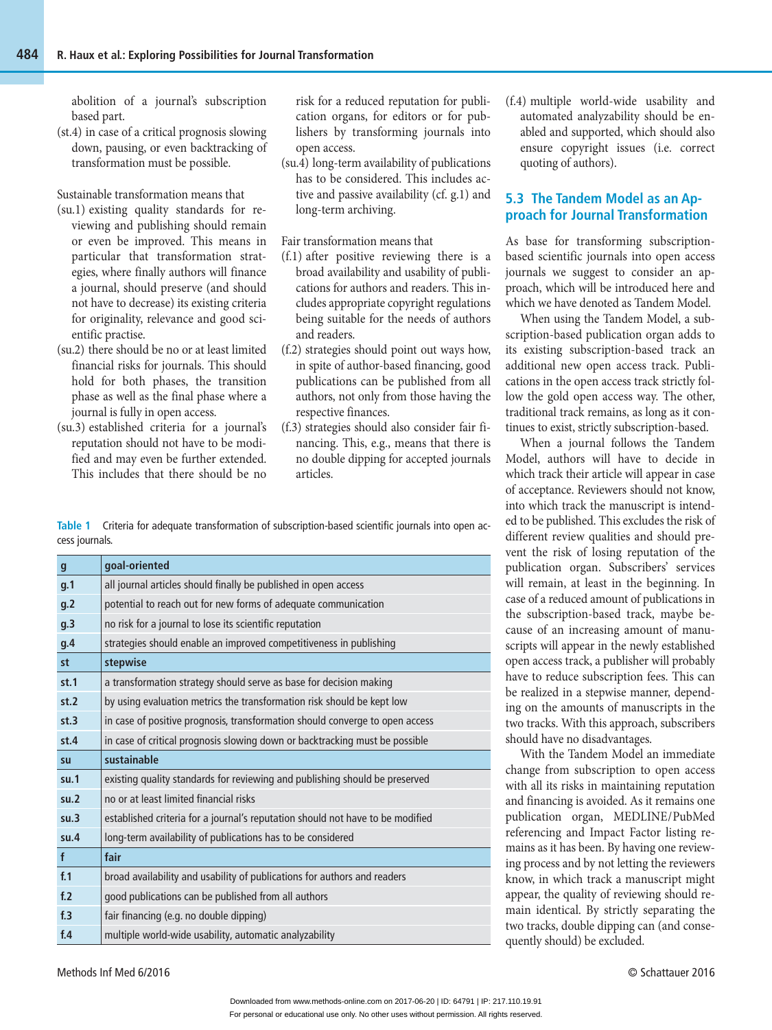abolition of a journal's subscription based part.

(st.4) in case of a critical prognosis slowing down, pausing, or even backtracking of transformation must be possible.

Sustainable transformation means that

- (su.1) existing quality standards for reviewing and publishing should remain or even be improved. This means in particular that transformation strategies, where finally authors will finance a journal, should preserve (and should not have to decrease) its existing criteria for originality, relevance and good scientific practise.
- (su.2) there should be no or at least limited financial risks for journals. This should hold for both phases, the transition phase as well as the final phase where a journal is fully in open access.
- (su.3) established criteria for a journal's reputation should not have to be modified and may even be further extended. This includes that there should be no

risk for a reduced reputation for publication organs, for editors or for publishers by transforming journals into open access.

(su.4) long-term availability of publications has to be considered. This includes active and passive availability (cf. g.1) and long-term archiving.

Fair transformation means that

- (f.1) after positive reviewing there is a broad availability and usability of publications for authors and readers. This includes appropriate copyright regulations being suitable for the needs of authors and readers.
- (f.2) strategies should point out ways how, in spite of author-based financing, good publications can be published from all authors, not only from those having the respective finances.
- (f.3) strategies should also consider fair financing. This, e.g., means that there is no double dipping for accepted journals articles.

**proach for Journal Transformation** As base for transforming subscriptionbased scientific journals into open access journals we suggest to consider an ap-

which we have denoted as Tandem Model. When using the Tandem Model, a subscription-based publication organ adds to its existing subscription-based track an additional new open access track. Publications in the open access track strictly follow the gold open access way. The other, traditional track remains, as long as it continues to exist, strictly subscription-based.

proach, which will be introduced here and

(f.4) multiple world-wide usability and automated analyzability should be enabled and supported, which should also ensure copyright issues (i.e. correct

**5.3 The Tandem Model as an Ap-**

quoting of authors).

When a journal follows the Tandem Model, authors will have to decide in which track their article will appear in case of acceptance. Reviewers should not know, into which track the manuscript is intended to be published. This excludes the risk of different review qualities and should prevent the risk of losing reputation of the publication organ. Subscribers' services will remain, at least in the beginning. In case of a reduced amount of publications in the subscription-based track, maybe because of an increasing amount of manuscripts will appear in the newly established open access track, a publisher will probably have to reduce subscription fees. This can be realized in a stepwise manner, depending on the amounts of manuscripts in the two tracks. With this approach, subscribers should have no disadvantages.

With the Tandem Model an immediate change from subscription to open access with all its risks in maintaining reputation and financing is avoided. As it remains one publication organ, MEDLINE/PubMed referencing and Impact Factor listing remains as it has been. By having one reviewing process and by not letting the reviewers know, in which track a manuscript might appear, the quality of reviewing should remain identical. By strictly separating the two tracks, double dipping can (and consequently should) be excluded.

Methods Inf Med 6/2016 © Schattauer 2016

**Table 1** Criteria for adequate transformation of subscription-based scientific journals into open access journals.

| $\boldsymbol{g}$ | goal-oriented                                                                  |
|------------------|--------------------------------------------------------------------------------|
| g.1              | all journal articles should finally be published in open access                |
| g.2              | potential to reach out for new forms of adequate communication                 |
| g.3              | no risk for a journal to lose its scientific reputation                        |
| g.4              | strategies should enable an improved competitiveness in publishing             |
| st               | stepwise                                                                       |
| st.1             | a transformation strategy should serve as base for decision making             |
| st.2             | by using evaluation metrics the transformation risk should be kept low         |
| st.3             | in case of positive prognosis, transformation should converge to open access   |
| st.4             | in case of critical prognosis slowing down or backtracking must be possible    |
| su               | sustainable                                                                    |
| su.1             | existing quality standards for reviewing and publishing should be preserved    |
| su.2             | no or at least limited financial risks                                         |
| su.3             | established criteria for a journal's reputation should not have to be modified |
| su.4             | long-term availability of publications has to be considered                    |
| f                | fair                                                                           |
| f.1              | broad availability and usability of publications for authors and readers       |
| f <sub>2</sub>   | good publications can be published from all authors                            |
| f <sub>1.3</sub> | fair financing (e.g. no double dipping)                                        |
| f.4              | multiple world-wide usability, automatic analyzability                         |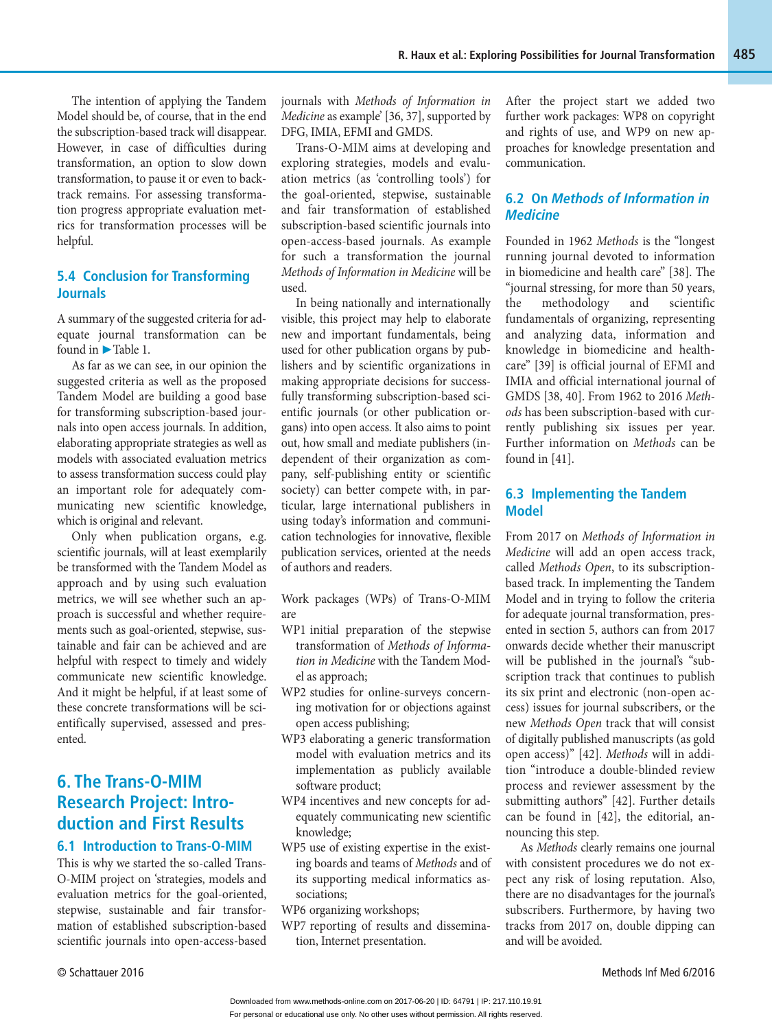The intention of applying the Tandem Model should be, of course, that in the end the subscription-based track will disappear. However, in case of difficulties during transformation, an option to slow down transformation, to pause it or even to backtrack remains. For assessing transformation progress appropriate evaluation metrics for transformation processes will be helpful.

#### **5.4 Conclusion for Transforming Journals**

A summary of the suggested criteria for adequate journal transformation can be found in ▶ Table 1.

As far as we can see, in our opinion the suggested criteria as well as the proposed Tandem Model are building a good base for transforming subscription-based jour nals into open access journals. In addition, elaborating appropriate strategies as well as models with associated evaluation metrics to assess transformation success could play an important role for adequately communicating new scientific knowledge, which is original and relevant.

Only when publication organs, e.g. scientific journals, will at least exemplarily be transformed with the Tandem Model as approach and by using such evaluation metrics, we will see whether such an approach is successful and whether requirements such as goal-oriented, stepwise, sustainable and fair can be achieved and are helpful with respect to timely and widely communicate new scientific knowledge. And it might be helpful, if at least some of these concrete transformations will be scientifically supervised, assessed and presented.

## **6 . The Trans-O-MIM Research Project: Intro duction and First Results**

#### **6.1 Introduction to Trans-O-MIM**

This is why we started the so-called Trans-O-MIM project on 'strategies, models and evaluation metrics for the goal-oriented, stepwise, sustainable and fair transformation of established subscription-based scientific journals into open-access-based journals with *Methods of Information in Medicine* as example' [36, 37], supported by DFG, IMIA, EFMI and GMDS.

Trans-O-MIM aims at developing and exploring strategies, models and evaluation metrics (as 'controlling tools') for the goal-oriented, stepwise, sustainable and fair transformation of established subscription-based scientific journals into open-access-based journals. As example for such a transformation the journal *Methods of Information in Medicine* will be used.

In being nationally and internationally visible, this project may help to elaborate new and important fundamentals, being used for other publication organs by publishers and by scientific organizations in making appropriate decisions for successfully transforming subscription-based scientific journals (or other publication organs) into open access. It also aims to point out, how small and mediate publishers (independent of their organization as company, self-publishing entity or scientific society) can better compete with, in particular, large international publishers in using today's information and communication technologies for innovative, flexible publication services, oriented at the needs of authors and readers.

Work packages (WPs) of Trans-O-MIM are

- WP1 initial preparation of the stepwise transformation of *Methods of Informa*tion in Medicine with the Tandem Model as approach;
- WP2 studies for online-surveys concerning motivation for or objections against open access publishing;
- WP3 elaborating a generic transformation model with evaluation metrics and its implementation as publicly available software product;
- WP4 incentives and new concepts for adequately communicating new scientific knowledge;
- WP5 use of existing expertise in the existing boards and teams of *Methods* and of its supporting medical informatics associations;
- WP6 organizing workshops;
- WP7 reporting of results and dissemination, Internet presentation.

After the project start we added two further work packages: WP8 on copyright and rights of use, and WP9 on new approaches for knowledge presentation and communication.

### **6.2 On** *Methods of Information in Medicine*

Founded in 1962 *Methods* is the "longest running journal devoted to information in biomedicine and health care" [38]. The "journal stressing, for more than 50 years, the methodology and scientific fundamentals of organizing, representing and analyzing data, information and knowledge in biomedicine and healthcare" [39] is official journal of EFMI and IMIA and official international journal of GMDS [38, 40]. From 1962 to 2016 *Methods* has been subscription-based with currently publishing six issues per year. Further information on *Methods* can be found in [41].

#### **6.3 Implementing the Tandem Model**

From 2017 on *Methods of Information in Medicine* will add an open access track, called *Methods Open*, to its subscriptionbased track. In implementing the Tandem Model and in trying to follow the criteria for adequate journal transformation, presented in section 5, authors can from 2017 onwards decide whether their manuscript will be published in the journal's "subscription track that continues to publish its six print and electronic (non-open access) issues for journal subscribers, or the new *Methods Open* track that will consist of digitally published manuscripts (as gold open access)" [42]. *Methods* will in addition "introduce a double-blinded review process and reviewer assessment by the submitting authors" [42]. Further details can be found in [42], the editorial, announcing this step.

As *Methods* clearly remains one journal with consistent procedures we do not expect any risk of losing reputation. Also, there are no disadvantages for the journal's subscribers. Furthermore, by having two tracks from 2017 on, double dipping can and will be avoided.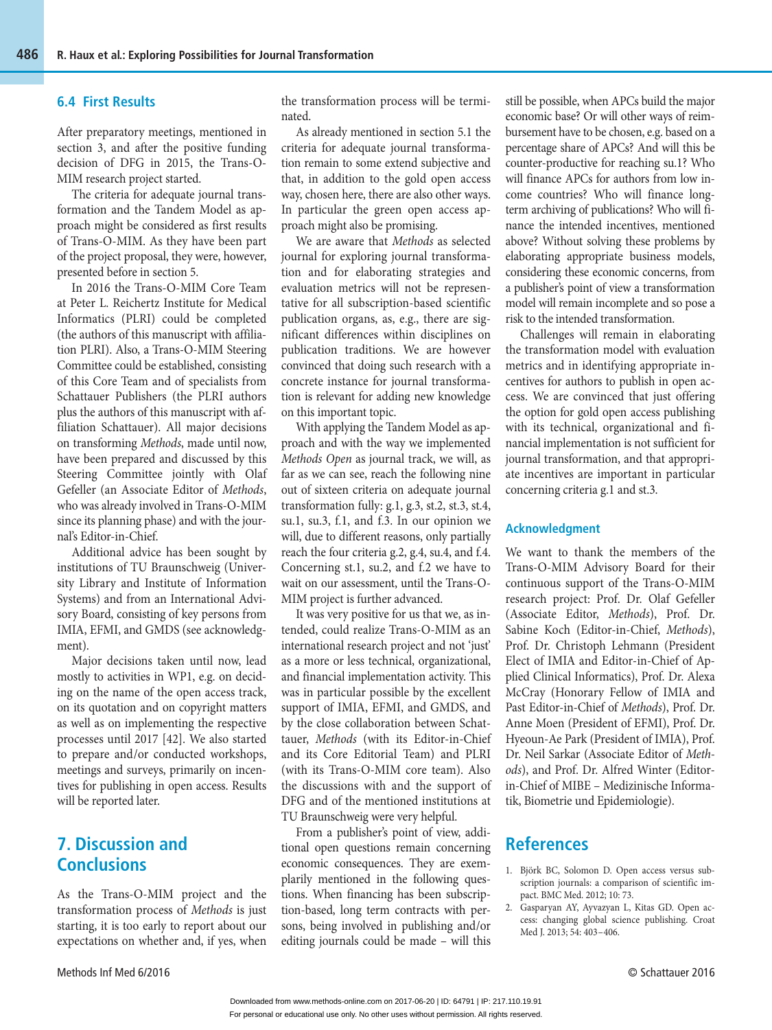### **6.4 First Results**

After preparatory meetings, mentioned in section 3, and after the positive funding decision of DFG in 2015, the Trans-O- MIM research project started.

The criteria for adequate journal transformation and the Tandem Model as approach might be considered as first results of Trans-O-MIM. As they have been part of the project proposal, they were, however, presented before in section 5.

In 2016 the Trans-O-MIM Core Team at Peter L. Reichertz Institute for Medical Informatics (PLRI) could be completed (the authors of this manuscript with affilia tion PLRI). Also, a Trans-O-MIM Steering Committee could be established, consisting of this Core Team and of specialists from Schattauer Publishers (the PLRI authors plus the authors of this manuscript with affiliation Schattauer). All major decisions on transforming *Methods*, made until now, have been prepared and discussed by this Steering Committee jointly with Olaf Gefeller (an Associate Editor of *Methods*, who was already involved in Trans-O-MIM since its planning phase) and with the journal's Editor-in-Chief.

Additional advice has been sought by institutions of TU Braunschweig (University Library and Institute of Information Systems) and from an International Advi sory Board, consisting of key persons from IMIA, EFMI, and GMDS (see acknowledgment).

Major decisions taken until now, lead mostly to activities in WP1, e.g. on deciding on the name of the open access track, on its quotation and on copyright matters as well as on implementing the respective processes until 2017 [42]. We also started to prepare and /or conducted workshops, meetings and surveys, primarily on incentives for publishing in open access. Results will be reported later.

# **7 . Discussion and Conclusions**

As the Trans-O-MIM project and the transformation process of *Methods* is just starting, it is too early to report about our expectations on whether and, if yes, when the transformation process will be terminated.

As already mentioned in section 5.1 the criteria for adequate journal transformation remain to some extend subjective and that, in addition to the gold open access way, chosen here, there are also other ways. In particular the green open access approach might also be promising.

We are aware that *Methods* as selected journal for exploring journal transformation and for elaborating strategies and evaluation metrics will not be representative for all subscription-based scientific publication organs, as, e.g., there are significant differences within disciplines on publication traditions. We are however convinced that doing such research with a concrete instance for journal transformation is relevant for adding new knowledge on this important topic.

With applying the Tandem Model as approach and with the way we implemented *Methods Open* as journal track, we will, as far as we can see, reach the following nine out of sixteen criteria on adequate journal transformation fully: g.1, g.3, st.2, st.3, st.4, su.1, su.3, f.1, and f.3. In our opinion we will, due to different reasons, only partially reach the four criteria g.2, g.4, su.4, and f.4. Concerning st.1, su.2, and f.2 we have to wait on our assessment, until the Trans-O- MIM project is further advanced.

It was very positive for us that we, as intended, could realize Trans-O-MIM as an international research project and not 'just' as a more or less technical, organizational, and financial implementation activity. This was in particular possible by the excellent support of IMIA, EFMI, and GMDS, and by the close collaboration between Schattauer, *Methods* (with its Editor-in-Chief and its Core Editorial Team) and PLRI (with its Trans-O-MIM core team). Also the discussions with and the support of DFG and of the mentioned institutions at TU Braunschweig were very helpful.

From a publisher's point of view, additional open questions remain concerning economic consequences. They are exemplarily mentioned in the following questions. When financing has been subscription-based, long term contracts with persons, being involved in publishing and /or editing journals could be made – will this still be possible, when APCs build the major economic base? Or will other ways of reimbursement have to be chosen, e.g. based on a percentage share of APCs? And will this be counter-productive for reaching su.1? Who will finance APCs for authors from low income countries? Who will finance longterm archiving of publications? Who will finance the intended incentives, mentioned above? Without solving these problems by elaborating appropriate business models, considering these economic concerns, from a publisher's point of view a transformation model will remain incomplete and so pose a risk to the intended transformation.

Challenges will remain in elaborating the transformation model with evaluation metrics and in identifying appropriate incentives for authors to publish in open access. We are convinced that just offering the option for gold open access publishing with its technical, organizational and financial implementation is not sufficient for journal transformation, and that appropriate incentives are important in particular concerning criteria g.1 and st.3.

#### **Acknowledgment**

We want to thank the members of the Trans-O-MIM Advisory Board for their continuous support of the Trans-O-MIM research project: Prof. Dr. Olaf Gefeller (Associate Editor, *Methods*), Prof. Dr. Sabine Koch (Editor-in-Chief, *Methods*), Prof. Dr. Christoph Lehmann (President Elect of IMIA and Editor-in-Chief of Applied Clinical Informatics), Prof. Dr. Alexa McCray (Honorary Fellow of IMIA and Past Editor-in-Chief of *Methods*), Prof. Dr. Anne Moen (President of EFMI), Prof. Dr. Hyeoun-Ae Park (President of IMIA), Prof. Dr. Neil Sarkar (Associate Editor of *Methods*), and Prof. Dr. Alfred Winter (Editorin-Chief of MIBE – Medizinische Informatik, Biometrie und Epidemiologie).

### **References**

- 1. Björk BC, Solomon D. Open access versus subscription journals: a comparison of scientific impact. BMC Med. 2012; 10: 73.
- 2. Gasparyan AY, Ayvazyan L, Kitas GD. Open access: changing global science publishing. Croat Med J. 2013; 54: 403 – 406.